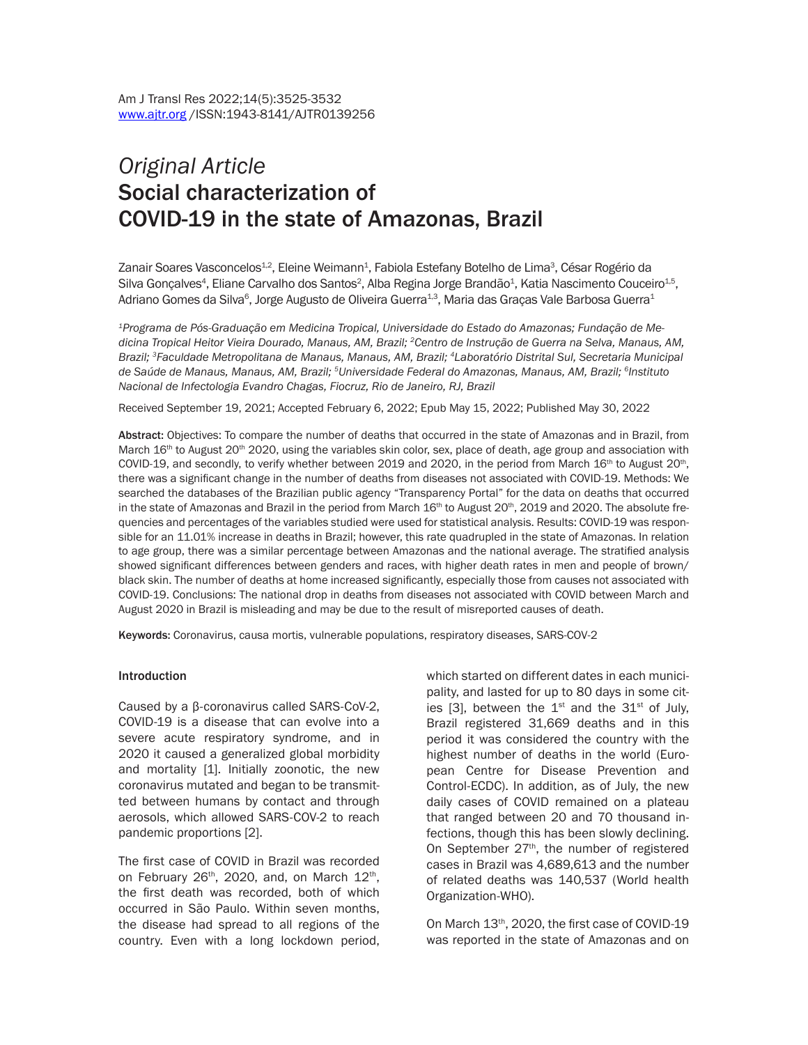# *Original Article* Social characterization of COVID-19 in the state of Amazonas, Brazil

Zanair Soares Vasconcelos<sup>1.2</sup>, Eleine Weimann<sup>1</sup>, Fabiola Estefany Botelho de Lima<sup>3</sup>, César Rogério da Silva Gonçalves<sup>4</sup>, Eliane Carvalho dos Santos<sup>2</sup>, Alba Regina Jorge Brandão<sup>1</sup>, Katia Nascimento Couceiro $^{\rm 4.5},$ Adriano Gomes da Silva<sup>6</sup>, Jorge Augusto de Oliveira Guerra<sup>1.3</sup>, Maria das Graças Vale Barbosa Guerra<sup>1</sup>

*1Programa de Pós-Graduação em Medicina Tropical, Universidade do Estado do Amazonas; Fundação de Medicina Tropical Heitor Vieira Dourado, Manaus, AM, Brazil; 2Centro de Instrução de Guerra na Selva, Manaus, AM, Brazil; 3Faculdade Metropolitana de Manaus, Manaus, AM, Brazil; 4Laboratório Distrital Sul, Secretaria Municipal de Saúde de Manaus, Manaus, AM, Brazil; 5Universidade Federal do Amazonas, Manaus, AM, Brazil; 6Instituto Nacional de Infectologia Evandro Chagas, Fiocruz, Rio de Janeiro, RJ, Brazil*

Received September 19, 2021; Accepted February 6, 2022; Epub May 15, 2022; Published May 30, 2022

Abstract: Objectives: To compare the number of deaths that occurred in the state of Amazonas and in Brazil, from March  $16<sup>th</sup>$  to August 20<sup>th</sup> 2020, using the variables skin color, sex, place of death, age group and association with COVID-19, and secondly, to verify whether between 2019 and 2020, in the period from March  $16<sup>th</sup>$  to August 20<sup>th</sup>, there was a significant change in the number of deaths from diseases not associated with COVID-19. Methods: We searched the databases of the Brazilian public agency "Transparency Portal" for the data on deaths that occurred in the state of Amazonas and Brazil in the period from March  $16th$  to August  $20th$ ,  $2019$  and  $2020$ . The absolute frequencies and percentages of the variables studied were used for statistical analysis. Results: COVID-19 was responsible for an 11.01% increase in deaths in Brazil; however, this rate quadrupled in the state of Amazonas. In relation to age group, there was a similar percentage between Amazonas and the national average. The stratified analysis showed significant differences between genders and races, with higher death rates in men and people of brown/ black skin. The number of deaths at home increased significantly, especially those from causes not associated with COVID-19. Conclusions: The national drop in deaths from diseases not associated with COVID between March and August 2020 in Brazil is misleading and may be due to the result of misreported causes of death.

Keywords: Coronavirus, causa mortis, vulnerable populations, respiratory diseases, SARS-COV-2

#### **Introduction**

Caused by a β-coronavirus called SARS-CoV-2, COVID-19 is a disease that can evolve into a severe acute respiratory syndrome, and in 2020 it caused a generalized global morbidity and mortality [1]. Initially zoonotic, the new coronavirus mutated and began to be transmitted between humans by contact and through aerosols, which allowed SARS-COV-2 to reach pandemic proportions [2].

The first case of COVID in Brazil was recorded on February 26<sup>th</sup>, 2020, and, on March 12<sup>th</sup>, the first death was recorded, both of which occurred in São Paulo. Within seven months, the disease had spread to all regions of the country. Even with a long lockdown period,

which started on different dates in each municipality, and lasted for up to 80 days in some cities [3], between the  $1^{st}$  and the  $31^{st}$  of July, Brazil registered 31,669 deaths and in this period it was considered the country with the highest number of deaths in the world (European Centre for Disease Prevention and Control-ECDC). In addition, as of July, the new daily cases of COVID remained on a plateau that ranged between 20 and 70 thousand infections, though this has been slowly declining. On September 27<sup>th</sup>, the number of registered cases in Brazil was 4,689,613 and the number of related deaths was 140,537 (World health Organization-WHO).

On March 13th, 2020, the first case of COVID-19 was reported in the state of Amazonas and on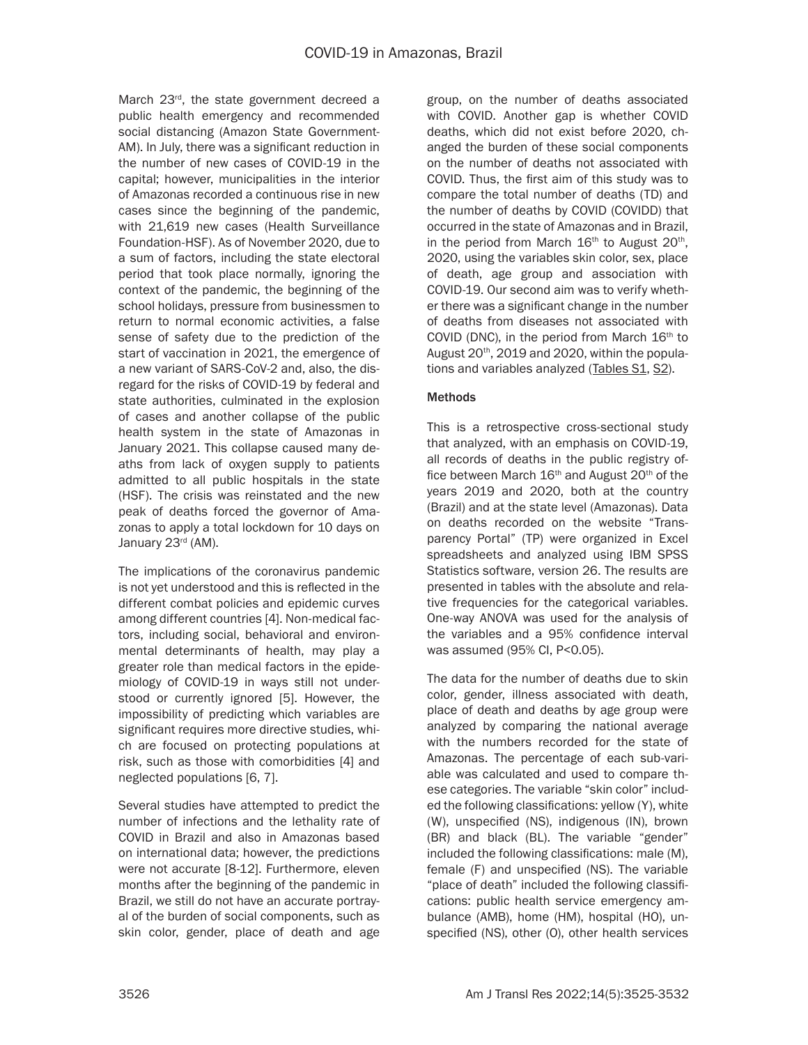March 23<sup>rd</sup>, the state government decreed a public health emergency and recommended social distancing (Amazon State Government-AM). In July, there was a significant reduction in the number of new cases of COVID-19 in the capital; however, municipalities in the interior of Amazonas recorded a continuous rise in new cases since the beginning of the pandemic, with 21,619 new cases (Health Surveillance Foundation-HSF). As of November 2020, due to a sum of factors, including the state electoral period that took place normally, ignoring the context of the pandemic, the beginning of the school holidays, pressure from businessmen to return to normal economic activities, a false sense of safety due to the prediction of the start of vaccination in 2021, the emergence of a new variant of SARS-CoV-2 and, also, the disregard for the risks of COVID-19 by federal and state authorities, culminated in the explosion of cases and another collapse of the public health system in the state of Amazonas in January 2021. This collapse caused many deaths from lack of oxygen supply to patients admitted to all public hospitals in the state (HSF). The crisis was reinstated and the new peak of deaths forced the governor of Amazonas to apply a total lockdown for 10 days on January 23<sup>rd</sup> (AM).

The implications of the coronavirus pandemic is not yet understood and this is reflected in the different combat policies and epidemic curves among different countries [4]. Non-medical factors, including social, behavioral and environmental determinants of health, may play a greater role than medical factors in the epidemiology of COVID-19 in ways still not understood or currently ignored [5]. However, the impossibility of predicting which variables are significant requires more directive studies, which are focused on protecting populations at risk, such as those with comorbidities [4] and neglected populations [6, 7].

Several studies have attempted to predict the number of infections and the lethality rate of COVID in Brazil and also in Amazonas based on international data; however, the predictions were not accurate [8-12]. Furthermore, eleven months after the beginning of the pandemic in Brazil, we still do not have an accurate portrayal of the burden of social components, such as skin color, gender, place of death and age

group, on the number of deaths associated with COVID. Another gap is whether COVID deaths, which did not exist before 2020, changed the burden of these social components on the number of deaths not associated with COVID. Thus, the first aim of this study was to compare the total number of deaths (TD) and the number of deaths by COVID (COVIDD) that occurred in the state of Amazonas and in Brazil, in the period from March  $16<sup>th</sup>$  to August  $20<sup>th</sup>$ , 2020, using the variables skin color, sex, place of death, age group and association with COVID-19. Our second aim was to verify whether there was a significant change in the number of deaths from diseases not associated with COVID (DNC), in the period from March  $16<sup>th</sup>$  to August 20<sup>th</sup>, 2019 and 2020, within the populations and variables analyzed [\(Tables S1](http://www.ajtr.org/files/ajtr0139256suppltab1.xlsx), [S2](http://www.ajtr.org/files/ajtr0139256suppltab2.xlsx)).

## Methods

This is a retrospective cross-sectional study that analyzed, with an emphasis on COVID-19, all records of deaths in the public registry office between March  $16<sup>th</sup>$  and August  $20<sup>th</sup>$  of the years 2019 and 2020, both at the country (Brazil) and at the state level (Amazonas). Data on deaths recorded on the website "Transparency Portal" (TP) were organized in Excel spreadsheets and analyzed using IBM SPSS Statistics software, version 26. The results are presented in tables with the absolute and relative frequencies for the categorical variables. One-way ANOVA was used for the analysis of the variables and a 95% confidence interval was assumed (95% CI, P<0.05).

The data for the number of deaths due to skin color, gender, illness associated with death, place of death and deaths by age group were analyzed by comparing the national average with the numbers recorded for the state of Amazonas. The percentage of each sub-variable was calculated and used to compare these categories. The variable "skin color" included the following classifications: yellow (Y), white (W), unspecified (NS), indigenous (IN), brown (BR) and black (BL). The variable "gender" included the following classifications: male (M), female (F) and unspecified (NS). The variable "place of death" included the following classifications: public health service emergency ambulance (AMB), home (HM), hospital (HO), unspecified (NS), other (O), other health services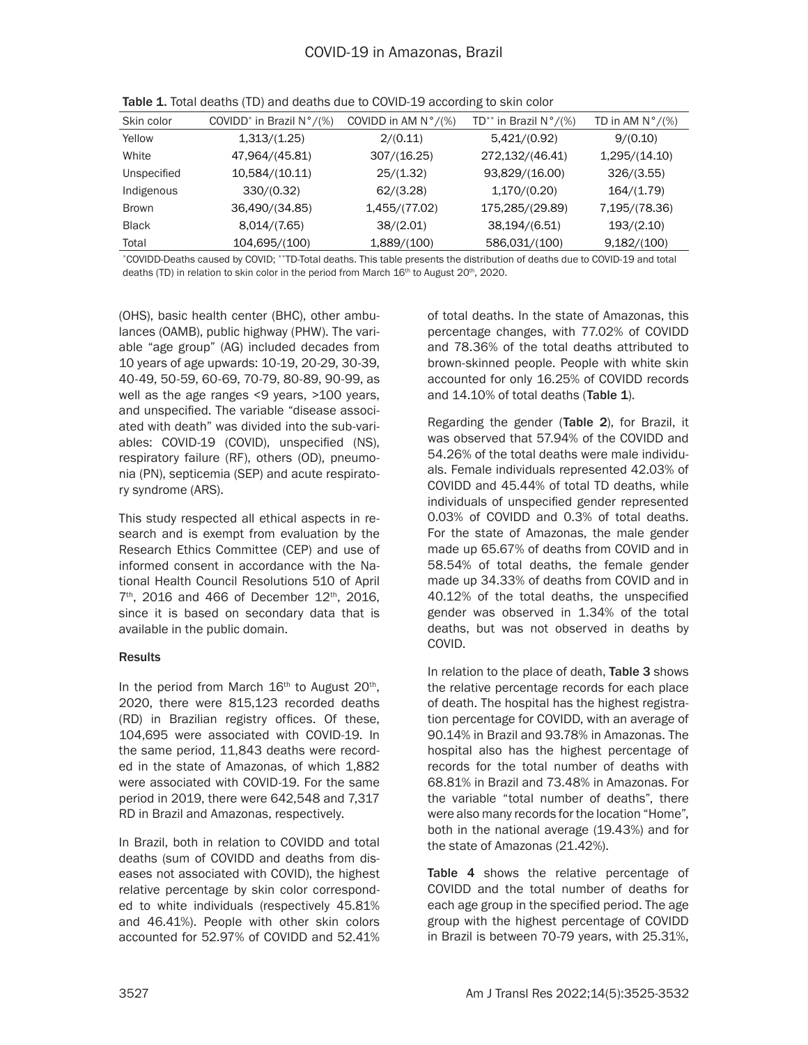| Skin color   | COVIDD <sup>*</sup> in Brazil $N^{\circ}/(\%)$ | COVIDD in AM $N^{\circ}/(\%)$ | TD <sup>**</sup> in Brazil $N^{\circ}/(\%)$ | TD in AM $N^{\circ}/(\%)$ |
|--------------|------------------------------------------------|-------------------------------|---------------------------------------------|---------------------------|
| Yellow       | 1,313/(1.25)                                   | 2/(0.11)                      | 5,421/(0.92)                                | 9/(0.10)                  |
| White        | 47,964/(45.81)                                 | 307/(16.25)                   | 272,132/(46.41)                             | 1,295/(14.10)             |
| Unspecified  | 10,584/(10.11)                                 | 25/(1.32)                     | 93,829/(16.00)                              | 326/(3.55)                |
| Indigenous   | 330/(0.32)                                     | 62/(3.28)                     | 1,170/(0.20)                                | 164/(1.79)                |
| <b>Brown</b> | 36,490/(34.85)                                 | 1,455/(77.02)                 | 175,285/(29.89)                             | 7,195/(78.36)             |
| <b>Black</b> | 8,014/(7.65)                                   | 38/(2.01)                     | 38,194/(6.51)                               | 193/(2.10)                |
| Total        | 104,695/(100)                                  | 1,889/(100)                   | 586,031/(100)                               | 9,182/(100)               |

Table 1. Total deaths (TD) and deaths due to COVID-19 according to skin color

\*COVIDD-Deaths caused by COVID; \*\*TD-Total deaths. This table presents the distribution of deaths due to COVID-19 and total deaths (TD) in relation to skin color in the period from March 16<sup>th</sup> to August 20<sup>th</sup>, 2020.

(OHS), basic health center (BHC), other ambulances (OAMB), public highway (PHW). The variable "age group" (AG) included decades from 10 years of age upwards: 10-19, 20-29, 30-39, 40-49, 50-59, 60-69, 70-79, 80-89, 90-99, as well as the age ranges <9 years, >100 years, and unspecified. The variable "disease associated with death" was divided into the sub-variables: COVID-19 (COVID), unspecified (NS), respiratory failure (RF), others (OD), pneumonia (PN), septicemia (SEP) and acute respiratory syndrome (ARS).

This study respected all ethical aspects in research and is exempt from evaluation by the Research Ethics Committee (CEP) and use of informed consent in accordance with the National Health Council Resolutions 510 of April  $7<sup>th</sup>$ , 2016 and 466 of December 12<sup>th</sup>, 2016, since it is based on secondary data that is available in the public domain.

## Results

In the period from March  $16<sup>th</sup>$  to August  $20<sup>th</sup>$ , 2020, there were 815,123 recorded deaths (RD) in Brazilian registry offices. Of these, 104,695 were associated with COVID-19. In the same period, 11,843 deaths were recorded in the state of Amazonas, of which 1,882 were associated with COVID-19. For the same period in 2019, there were 642,548 and 7,317 RD in Brazil and Amazonas, respectively.

In Brazil, both in relation to COVIDD and total deaths (sum of COVIDD and deaths from diseases not associated with COVID), the highest relative percentage by skin color corresponded to white individuals (respectively 45.81% and 46.41%). People with other skin colors accounted for 52.97% of COVIDD and 52.41% of total deaths. In the state of Amazonas, this percentage changes, with 77.02% of COVIDD and 78.36% of the total deaths attributed to brown-skinned people. People with white skin accounted for only 16.25% of COVIDD records and 14.10% of total deaths (Table 1).

Regarding the gender (Table 2), for Brazil, it was observed that 57.94% of the COVIDD and 54.26% of the total deaths were male individuals. Female individuals represented 42.03% of COVIDD and 45.44% of total TD deaths, while individuals of unspecified gender represented 0.03% of COVIDD and 0.3% of total deaths. For the state of Amazonas, the male gender made up 65.67% of deaths from COVID and in 58.54% of total deaths, the female gender made up 34.33% of deaths from COVID and in 40.12% of the total deaths, the unspecified gender was observed in 1.34% of the total deaths, but was not observed in deaths by COVID.

In relation to the place of death, Table 3 shows the relative percentage records for each place of death. The hospital has the highest registration percentage for COVIDD, with an average of 90.14% in Brazil and 93.78% in Amazonas. The hospital also has the highest percentage of records for the total number of deaths with 68.81% in Brazil and 73.48% in Amazonas. For the variable "total number of deaths", there were also many records for the location "Home", both in the national average (19.43%) and for the state of Amazonas (21.42%).

Table 4 shows the relative percentage of COVIDD and the total number of deaths for each age group in the specified period. The age group with the highest percentage of COVIDD in Brazil is between 70-79 years, with 25.31%,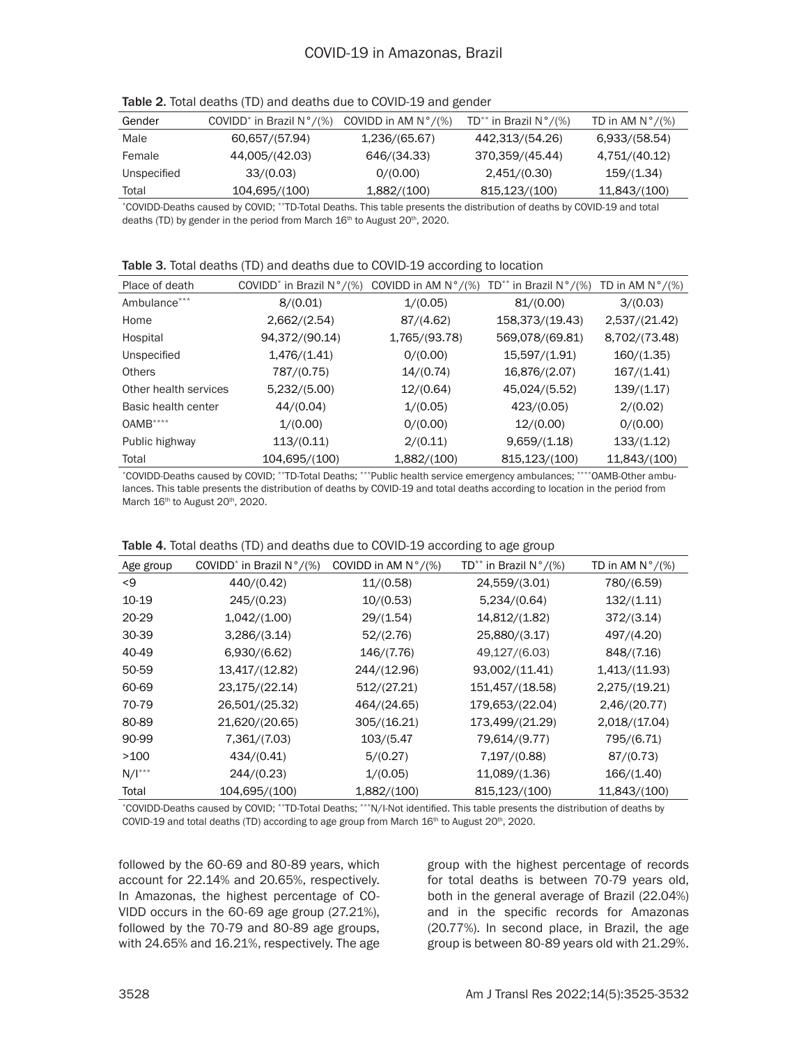| Gender      | COVIDD <sup>*</sup> in Brazil $N^{\circ}/(\%)$ | COVIDD in AM $N^{\circ}/(\%)$ | TD** in Brazil $N^{\circ}/(\%)$ | TD in AM $N^{\circ}/(\%)$ |
|-------------|------------------------------------------------|-------------------------------|---------------------------------|---------------------------|
| Male        | 60,657/(57.94)                                 | 1,236/(65.67)                 | 442,313/(54.26)                 | 6,933/(58.54)             |
| Female      | 44,005/(42.03)                                 | 646/(34.33)                   | 370,359/(45.44)                 | 4,751/(40.12)             |
| Unspecified | 33/(0.03)                                      | 0/(0.00)                      | 2,451/(0.30)                    | 159/(1.34)                |
| Total       | 104,695/(100)                                  | 1,882/(100)                   | 815,123/(100)                   | 11,843/(100)              |

Table 2. Total deaths (TD) and deaths due to COVID-19 and gender

\*COVIDD-Deaths caused by COVID; \*\*TD-Total Deaths. This table presents the distribution of deaths by COVID-19 and total deaths (TD) by gender in the period from March 16<sup>th</sup> to August 20<sup>th</sup>, 2020.

| Table 3. Total deaths (TD) and deaths due to COVID-19 according to location |  |
|-----------------------------------------------------------------------------|--|
|-----------------------------------------------------------------------------|--|

| Place of death        | COVIDD <sup>*</sup> in Brazil $N^{\circ}/(\%)$ | COVIDD in AM $N^{\circ}/(\%)$ | TD** in Brazil $N^{\circ}/(\%)$ | TD in AM $N^{\circ}/(\%)$ |
|-----------------------|------------------------------------------------|-------------------------------|---------------------------------|---------------------------|
| Ambulance***          | 8/(0.01)                                       | 1/(0.05)                      | 81/(0.00)                       | 3/(0.03)                  |
| Home                  | 2,662/(2.54)                                   | 87/(4.62)                     | 158,373/(19.43)                 | 2,537/(21.42)             |
| Hospital              | 94,372/(90.14)                                 | 1,765/(93.78)                 | 569,078/(69.81)                 | 8,702/(73.48)             |
| Unspecified           | 1,476/(1.41)                                   | 0/(0.00)                      | 15,597/(1.91)                   | 160/(1.35)                |
| <b>Others</b>         | 787/(0.75)                                     | 14/(0.74)                     | 16,876/(2.07)                   | 167/(1.41)                |
| Other health services | 5,232/(5.00)                                   | 12/(0.64)                     | 45,024/(5.52)                   | 139/(1.17)                |
| Basic health center   | 44/(0.04)                                      | 1/(0.05)                      | 423/(0.05)                      | 2/(0.02)                  |
| $OAMB***$             | 1/(0.00)                                       | 0/(0.00)                      | 12/(0.00)                       | 0/(0.00)                  |
| Public highway        | 113/(0.11)                                     | 2/(0.11)                      | 9,659/(1.18)                    | 133/(1.12)                |
| Total                 | 104,695/(100)                                  | 1,882/(100)                   | 815,123/(100)                   | 11,843/(100)              |
|                       |                                                |                               |                                 |                           |

\*COVIDD-Deaths caused by COVID; \*\*TD-Total Deaths; \*\*\*Public health service emergency ambulances; \*\*\*\*OAMB-Other ambulances. This table presents the distribution of deaths by COVID-19 and total deaths according to location in the period from March 16<sup>th</sup> to August 20<sup>th</sup>, 2020.

|  |  |  |  |  |  |  | Table 4. Total deaths (TD) and deaths due to COVID-19 according to age group |  |  |  |  |
|--|--|--|--|--|--|--|------------------------------------------------------------------------------|--|--|--|--|
|--|--|--|--|--|--|--|------------------------------------------------------------------------------|--|--|--|--|

| Age group   | COVIDD <sup>*</sup> in Brazil $N^{\circ}/(\%)$ | COVIDD in AM $N^{\circ}/(\%)$ | TD <sup>**</sup> in Brazil $N^{\circ}/(\%)$ | TD in AM $N^{\circ}/(\%)$ |
|-------------|------------------------------------------------|-------------------------------|---------------------------------------------|---------------------------|
| <9          | 440/(0.42)                                     | 11/(0.58)                     | 24,559/(3.01)                               | 780/(6.59)                |
| 10-19       | 245/(0.23)                                     | 10/(0.53)                     | 5,234/(0.64)                                | 132/(1.11)                |
| 20-29       | 1,042/(1.00)                                   | 29/(1.54)                     | 14,812/(1.82)                               | 372/(3.14)                |
| 30-39       | 3,286/(3.14)                                   | 52/(2.76)                     | 25,880/(3.17)                               | 497/(4.20)                |
| 40-49       | 6,930/(6.62)                                   | 146/(7.76)                    | 49,127/(6.03)                               | 848/(7.16)                |
| 50-59       | 13,417/(12.82)                                 | 244/(12.96)                   | 93,002/(11.41)                              | 1,413/(11.93)             |
| 60-69       | 23,175/(22.14)                                 | 512/(27.21)                   | 151,457/(18.58)                             | 2,275/(19.21)             |
| 70-79       | 26,501/(25.32)                                 | 464/(24.65)                   | 179,653/(22.04)                             | 2,46/(20.77)              |
| 80-89       | 21,620/(20.65)                                 | 305/(16.21)                   | 173,499/(21.29)                             | 2,018/(17.04)             |
| 90-99       | 7,361/(7.03)                                   | 103/(5.47                     | 79,614/(9.77)                               | 795/(6.71)                |
| >100        | 434/(0.41)                                     | 5/(0.27)                      | 7,197/(0.88)                                | 87/(0.73)                 |
| $N/I^{***}$ | 244/(0.23)                                     | 1/(0.05)                      | 11,089/(1.36)                               | 166/(1.40)                |
| Total       | 104,695/(100)                                  | 1,882/(100)                   | 815,123/(100)                               | 11,843/(100)              |

\*COVIDD-Deaths caused by COVID; \*\*TD-Total Deaths; \*\*\*N/I-Not identified. This table presents the distribution of deaths by COVID-19 and total deaths (TD) according to age group from March 16<sup>th</sup> to August 20<sup>th</sup>, 2020.

followed by the 60-69 and 80-89 years, which account for 22.14% and 20.65%, respectively. In Amazonas, the highest percentage of CO-VIDD occurs in the 60-69 age group (27.21%), followed by the 70-79 and 80-89 age groups, with 24.65% and 16.21%, respectively. The age group with the highest percentage of records for total deaths is between 70-79 years old, both in the general average of Brazil (22.04%) and in the specific records for Amazonas (20.77%). In second place, in Brazil, the age group is between 80-89 years old with 21.29%.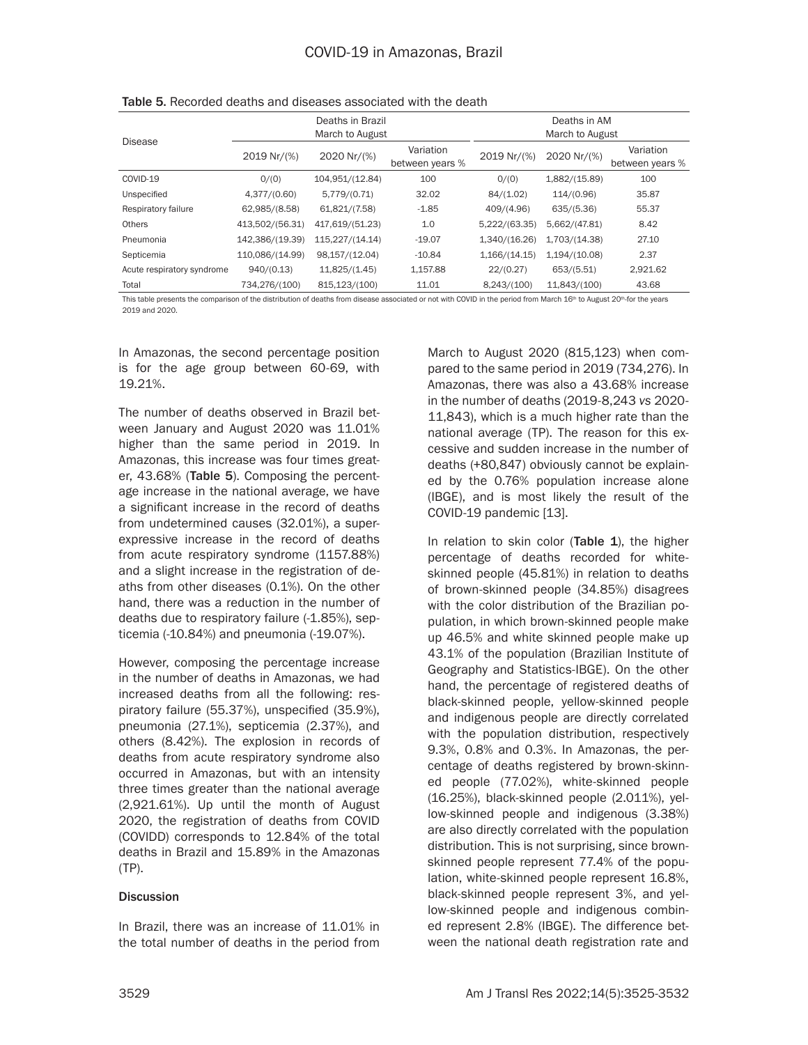|                            |                            | Deaths in Brazil<br>March to August |                              | Deaths in AM<br>March to August |               |                              |  |
|----------------------------|----------------------------|-------------------------------------|------------------------------|---------------------------------|---------------|------------------------------|--|
| Disease                    | 2020 Nr/(%)<br>2019 Nr/(%) |                                     | Variation<br>between years % | 2019 Nr/(%)                     | 2020 Nr/(%)   | Variation<br>between years % |  |
| COVID-19                   | O/(O)                      | 104,951/(12.84)                     | 100                          | 0/(0)                           | 1,882/(15.89) | 100                          |  |
| Unspecified                | 4,377/(0.60)               | 5,779/(0.71)                        | 32.02                        | 84/(1.02)                       | 114/(0.96)    | 35.87                        |  |
| Respiratory failure        | 62,985/(8.58)              | 61,821/(7.58)                       | $-1.85$                      | 409/(4.96)                      | 635/(5.36)    | 55.37                        |  |
| <b>Others</b>              | 413,502/(56.31)            | 417,619/(51.23)                     | 1.0                          | 5,222/(63.35)                   | 5,662/(47.81) | 8.42                         |  |
| Pneumonia                  | 142,386/(19.39)            | 115,227/(14.14)                     | $-19.07$                     | 1,340/(16.26)                   | 1,703/(14.38) | 27.10                        |  |
| Septicemia                 | 110,086/(14.99)            | 98,157/(12.04)                      | $-10.84$                     | 1,166/(14.15)                   | 1,194/(10.08) | 2.37                         |  |
| Acute respiratory syndrome | 940/(0.13)                 | 11,825/(1.45)                       | 1,157.88                     | 22/(0.27)                       | 653/(5.51)    | 2.921.62                     |  |
| Total                      | 734,276/(100)              | 815,123/(100)                       | 11.01                        | 8,243/(100)                     | 11,843/(100)  | 43.68                        |  |

Table 5. Recorded deaths and diseases associated with the death

This table presents the comparison of the distribution of deaths from disease associated or not with COVID in the period from March 16<sup>th</sup> to August 20<sup>th</sup>-for the years 2019 and 2020.

In Amazonas, the second percentage position is for the age group between 60-69, with 19.21%.

The number of deaths observed in Brazil between January and August 2020 was 11.01% higher than the same period in 2019. In Amazonas, this increase was four times greater, 43.68% (Table 5). Composing the percentage increase in the national average, we have a significant increase in the record of deaths from undetermined causes (32.01%), a superexpressive increase in the record of deaths from acute respiratory syndrome (1157.88%) and a slight increase in the registration of deaths from other diseases (0.1%). On the other hand, there was a reduction in the number of deaths due to respiratory failure (-1.85%), septicemia (-10.84%) and pneumonia (-19.07%).

However, composing the percentage increase in the number of deaths in Amazonas, we had increased deaths from all the following: respiratory failure (55.37%), unspecified (35.9%), pneumonia (27.1%), septicemia (2.37%), and others (8.42%). The explosion in records of deaths from acute respiratory syndrome also occurred in Amazonas, but with an intensity three times greater than the national average (2,921.61%). Up until the month of August 2020, the registration of deaths from COVID (COVIDD) corresponds to 12.84% of the total deaths in Brazil and 15.89% in the Amazonas (TP).

#### **Discussion**

In Brazil, there was an increase of 11.01% in the total number of deaths in the period from March to August 2020 (815,123) when compared to the same period in 2019 (734,276). In Amazonas, there was also a 43.68% increase in the number of deaths (2019-8,243 *vs* 2020- 11,843), which is a much higher rate than the national average (TP). The reason for this excessive and sudden increase in the number of deaths (+80,847) obviously cannot be explained by the 0.76% population increase alone (IBGE), and is most likely the result of the COVID-19 pandemic [13].

In relation to skin color (Table 1), the higher percentage of deaths recorded for whiteskinned people (45.81%) in relation to deaths of brown-skinned people (34.85%) disagrees with the color distribution of the Brazilian population, in which brown-skinned people make up 46.5% and white skinned people make up 43.1% of the population (Brazilian Institute of Geography and Statistics-IBGE). On the other hand, the percentage of registered deaths of black-skinned people, yellow-skinned people and indigenous people are directly correlated with the population distribution, respectively 9.3%, 0.8% and 0.3%. In Amazonas, the percentage of deaths registered by brown-skinned people (77.02%), white-skinned people (16.25%), black-skinned people (2.011%), yellow-skinned people and indigenous (3.38%) are also directly correlated with the population distribution. This is not surprising, since brownskinned people represent 77.4% of the population, white-skinned people represent 16.8%, black-skinned people represent 3%, and yellow-skinned people and indigenous combined represent 2.8% (IBGE). The difference between the national death registration rate and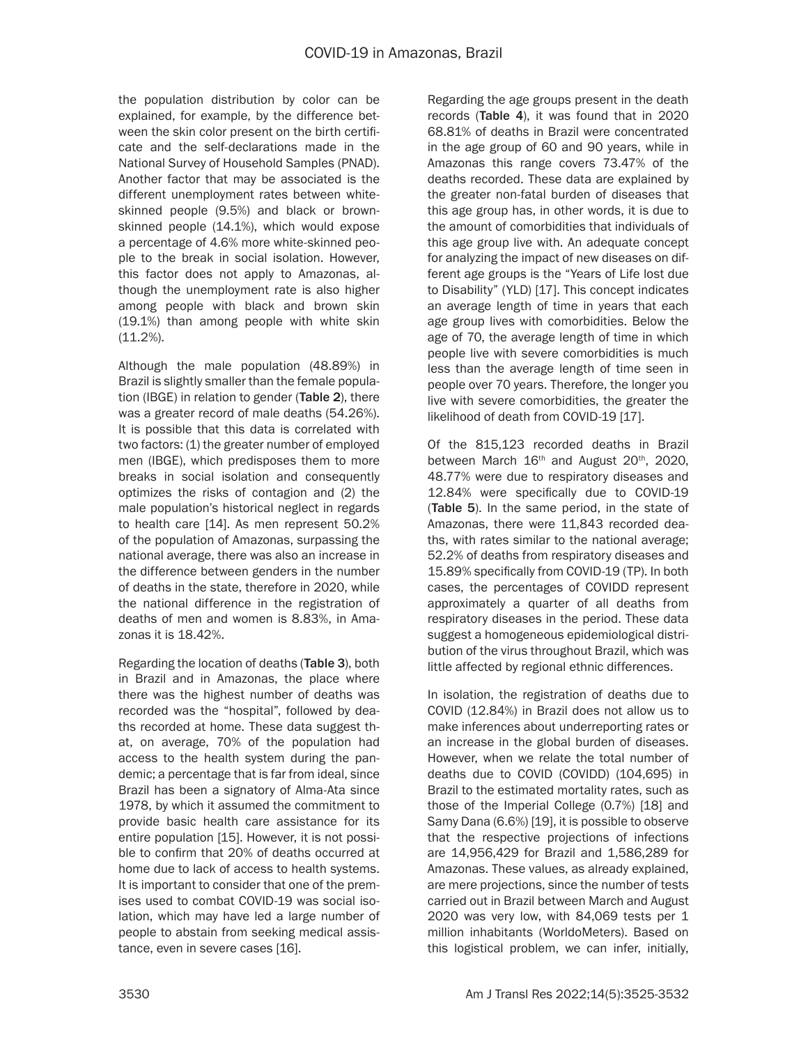the population distribution by color can be explained, for example, by the difference between the skin color present on the birth certificate and the self-declarations made in the National Survey of Household Samples (PNAD). Another factor that may be associated is the different unemployment rates between whiteskinned people (9.5%) and black or brownskinned people (14.1%), which would expose a percentage of 4.6% more white-skinned people to the break in social isolation. However, this factor does not apply to Amazonas, although the unemployment rate is also higher among people with black and brown skin (19.1%) than among people with white skin (11.2%).

Although the male population (48.89%) in Brazil is slightly smaller than the female population (IBGE) in relation to gender (Table 2), there was a greater record of male deaths (54.26%). It is possible that this data is correlated with two factors: (1) the greater number of employed men (IBGE), which predisposes them to more breaks in social isolation and consequently optimizes the risks of contagion and (2) the male population's historical neglect in regards to health care [14]. As men represent 50.2% of the population of Amazonas, surpassing the national average, there was also an increase in the difference between genders in the number of deaths in the state, therefore in 2020, while the national difference in the registration of deaths of men and women is 8.83%, in Amazonas it is 18.42%.

Regarding the location of deaths (Table 3), both in Brazil and in Amazonas, the place where there was the highest number of deaths was recorded was the "hospital", followed by deaths recorded at home. These data suggest that, on average, 70% of the population had access to the health system during the pandemic; a percentage that is far from ideal, since Brazil has been a signatory of Alma-Ata since 1978, by which it assumed the commitment to provide basic health care assistance for its entire population [15]. However, it is not possible to confirm that 20% of deaths occurred at home due to lack of access to health systems. It is important to consider that one of the premises used to combat COVID-19 was social isolation, which may have led a large number of people to abstain from seeking medical assistance, even in severe cases [16].

Regarding the age groups present in the death records (Table 4), it was found that in 2020 68.81% of deaths in Brazil were concentrated in the age group of 60 and 90 years, while in Amazonas this range covers 73.47% of the deaths recorded. These data are explained by the greater non-fatal burden of diseases that this age group has, in other words, it is due to the amount of comorbidities that individuals of this age group live with. An adequate concept for analyzing the impact of new diseases on different age groups is the "Years of Life lost due to Disability" (YLD) [17]. This concept indicates an average length of time in years that each age group lives with comorbidities. Below the age of 70, the average length of time in which people live with severe comorbidities is much less than the average length of time seen in people over 70 years. Therefore, the longer you live with severe comorbidities, the greater the likelihood of death from COVID-19 [17].

Of the 815,123 recorded deaths in Brazil between March 16<sup>th</sup> and August 20<sup>th</sup>, 2020, 48.77% were due to respiratory diseases and 12.84% were specifically due to COVID-19 (Table 5). In the same period, in the state of Amazonas, there were 11,843 recorded deaths, with rates similar to the national average; 52.2% of deaths from respiratory diseases and 15.89% specifically from COVID-19 (TP). In both cases, the percentages of COVIDD represent approximately a quarter of all deaths from respiratory diseases in the period. These data suggest a homogeneous epidemiological distribution of the virus throughout Brazil, which was little affected by regional ethnic differences.

In isolation, the registration of deaths due to COVID (12.84%) in Brazil does not allow us to make inferences about underreporting rates or an increase in the global burden of diseases. However, when we relate the total number of deaths due to COVID (COVIDD) (104,695) in Brazil to the estimated mortality rates, such as those of the Imperial College (0.7%) [18] and Samy Dana (6.6%) [19], it is possible to observe that the respective projections of infections are 14,956,429 for Brazil and 1,586,289 for Amazonas. These values, as already explained, are mere projections, since the number of tests carried out in Brazil between March and August 2020 was very low, with 84,069 tests per 1 million inhabitants (WorldoMeters). Based on this logistical problem, we can infer, initially,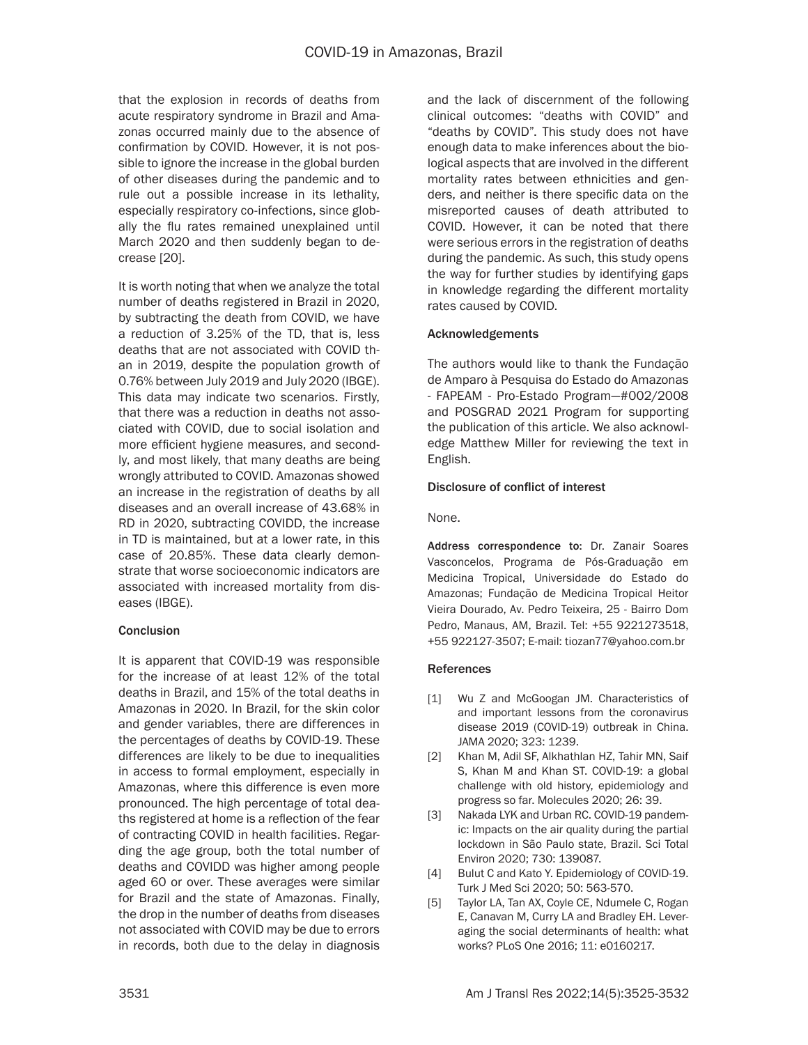that the explosion in records of deaths from acute respiratory syndrome in Brazil and Amazonas occurred mainly due to the absence of confirmation by COVID. However, it is not possible to ignore the increase in the global burden of other diseases during the pandemic and to rule out a possible increase in its lethality, especially respiratory co-infections, since globally the flu rates remained unexplained until March 2020 and then suddenly began to decrease [20].

It is worth noting that when we analyze the total number of deaths registered in Brazil in 2020, by subtracting the death from COVID, we have a reduction of 3.25% of the TD, that is, less deaths that are not associated with COVID than in 2019, despite the population growth of 0.76% between July 2019 and July 2020 (IBGE). This data may indicate two scenarios. Firstly, that there was a reduction in deaths not associated with COVID, due to social isolation and more efficient hygiene measures, and secondly, and most likely, that many deaths are being wrongly attributed to COVID. Amazonas showed an increase in the registration of deaths by all diseases and an overall increase of 43.68% in RD in 2020, subtracting COVIDD, the increase in TD is maintained, but at a lower rate, in this case of 20.85%. These data clearly demonstrate that worse socioeconomic indicators are associated with increased mortality from diseases (IBGE).

#### Conclusion

It is apparent that COVID-19 was responsible for the increase of at least 12% of the total deaths in Brazil, and 15% of the total deaths in Amazonas in 2020. In Brazil, for the skin color and gender variables, there are differences in the percentages of deaths by COVID-19. These differences are likely to be due to inequalities in access to formal employment, especially in Amazonas, where this difference is even more pronounced. The high percentage of total deaths registered at home is a reflection of the fear of contracting COVID in health facilities. Regarding the age group, both the total number of deaths and COVIDD was higher among people aged 60 or over. These averages were similar for Brazil and the state of Amazonas. Finally, the drop in the number of deaths from diseases not associated with COVID may be due to errors in records, both due to the delay in diagnosis and the lack of discernment of the following clinical outcomes: "deaths with COVID" and "deaths by COVID". This study does not have enough data to make inferences about the biological aspects that are involved in the different mortality rates between ethnicities and genders, and neither is there specific data on the misreported causes of death attributed to COVID. However, it can be noted that there were serious errors in the registration of deaths during the pandemic. As such, this study opens the way for further studies by identifying gaps in knowledge regarding the different mortality rates caused by COVID.

### Acknowledgements

The authors would like to thank the Fundação de Amparo à Pesquisa do Estado do Amazonas - FAPEAM - Pro-Estado Program—#002/2008 and POSGRAD 2021 Program for supporting the publication of this article. We also acknowledge Matthew Miller for reviewing the text in English.

#### Disclosure of conflict of interest

None.

Address correspondence to: Dr. Zanair Soares Vasconcelos, Programa de Pós-Graduação em Medicina Tropical, Universidade do Estado do Amazonas; Fundação de Medicina Tropical Heitor Vieira Dourado, Av. Pedro Teixeira, 25 - Bairro Dom Pedro, Manaus, AM, Brazil. Tel: +55 9221273518, +55 922127-3507; E-mail: tiozan77@yahoo.com.br

#### **References**

- [1] Wu Z and McGoogan JM. Characteristics of and important lessons from the coronavirus disease 2019 (COVID-19) outbreak in China. JAMA 2020; 323: 1239.
- [2] Khan M, Adil SF, Alkhathlan HZ, Tahir MN, Saif S, Khan M and Khan ST. COVID-19: a global challenge with old history, epidemiology and progress so far. Molecules 2020; 26: 39.
- [3] Nakada LYK and Urban RC. COVID-19 pandemic: Impacts on the air quality during the partial lockdown in São Paulo state, Brazil. Sci Total Environ 2020; 730: 139087.
- [4] Bulut C and Kato Y. Epidemiology of COVID-19. Turk J Med Sci 2020; 50: 563-570.
- [5] Taylor LA, Tan AX, Coyle CE, Ndumele C, Rogan E, Canavan M, Curry LA and Bradley EH. Leveraging the social determinants of health: what works? PLoS One 2016; 11: e0160217.